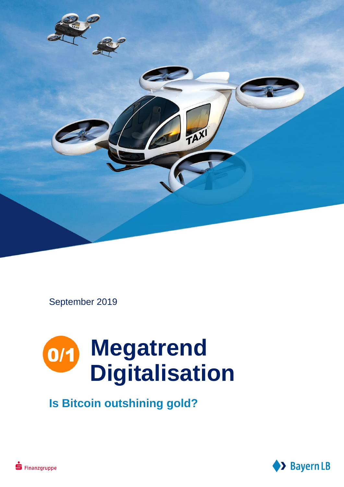

September 2019

# **Megatrend Digitalisation**

**Is Bitcoin outshining gold?**

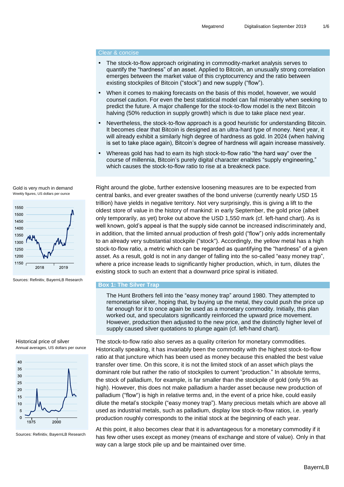## Clear & concise

- The stock-to-flow approach originating in commodity-market analysis serves to quantify the "hardness" of an asset. Applied to Bitcoin, an unusually strong correlation emerges between the market value of this cryptocurrency and the ratio between existing stockpiles of Bitcoin ("stock") and new supply ("flow").
- When it comes to making forecasts on the basis of this model, however, we would counsel caution. For even the best statistical model can fail miserably when seeking to predict the future. A major challenge for the stock-to-flow model is the next Bitcoin halving (50% reduction in supply growth) which is due to take place next year.
- Nevertheless, the stock-to-flow approach is a good heuristic for understanding Bitcoin. It becomes clear that Bitcoin is designed as an ultra-hard type of money. Next year, it will already exhibit a similarly high degree of hardness as gold. In 2024 (when halving is set to take place again), Bitcoin's degree of hardness will again increase massively.
- Whereas gold has had to earn its high stock-to-flow ratio "the hard way" over the course of millennia, Bitcoin's purely digital character enables "supply engineering," which causes the stock-to-flow ratio to rise at a breakneck pace.





Sources: Refinitiv, BayernLB Research

## Historical price of silver Annual averages, US dollars per ounce



Sources: Refinitiv, BayernLB Research

Right around the globe, further extensive loosening measures are to be expected from central banks, and ever greater swathes of the bond universe (currently nearly USD 15 trillion) have yields in negative territory. Not very surprisingly, this is giving a lift to the oldest store of value in the history of mankind: in early September, the gold price (albeit only temporarily, as yet) broke out above the USD 1,550 mark (cf. left-hand chart). As is well known, gold's appeal is that the supply side cannot be increased indiscriminately and, in addition, that the limited annual production of fresh gold ("flow") only adds incrementally to an already very substantial stockpile ("stock"). Accordingly, the yellow metal has a high stock-to-flow ratio, a metric which can be regarded as quantifying the "hardness" of a given asset. As a result, gold is not in any danger of falling into the so-called "easy money trap", where a price increase leads to significantly higher production, which, in turn, dilutes the existing stock to such an extent that a downward price spiral is initiated.

## **Box 1: The Silver Trap**

The Hunt Brothers fell into the "easy money trap" around 1980. They attempted to remonetarise silver, hoping that, by buying up the metal, they could push the price up far enough for it to once again be used as a monetary commodity. Initially, this plan worked out, and speculators significantly reinforced the upward price movement. However, production then adjusted to the new price, and the distinctly higher level of supply caused silver quotations to plunge again (cf. left-hand chart).

The stock-to-flow ratio also serves as a quality criterion for monetary commodities. Historically speaking, it has invariably been the commodity with the highest stock-to-flow ratio at that juncture which has been used as money because this enabled the best value transfer over time. On this score, it is not the limited stock of an asset which plays the dominant role but rather the ratio of stockpiles to current "production." In absolute terms, the stock of palladium, for example, is far smaller than the stockpile of gold (only 5% as high). However, this does not make palladium a harder asset because new production of palladium ("flow") is high in relative terms and, in the event of a price hike, could easily dilute the metal's stockpile ("easy money trap"). Many precious metals which are above all used as industrial metals, such as palladium, display low stock-to-flow ratios, i.e. yearly production roughly corresponds to the initial stock at the beginning of each year.

At this point, it also becomes clear that it is advantageous for a monetary commodity if it has few other uses except as money (means of exchange and store of value). Only in that way can a large stock pile up and be maintained over time.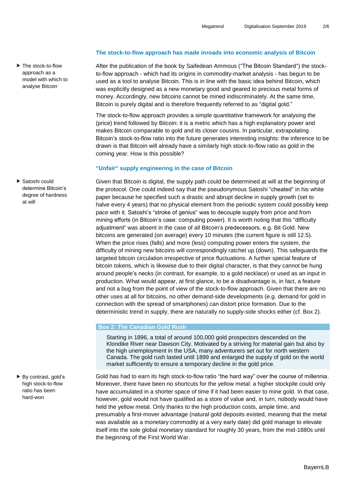▶ The stock-to-flow approach as a model with which to analyse Bitcoin

▶ Satoshi could determine Bitcoin's degree of hardness at will

▶ By contrast, gold's high stock-to-flow ratio has been hard-won

## **The stock-to-flow approach has made inroads into economic analysis of Bitcoin**

After the publication of the book by Saifedean Ammous ("The Bitcoin Standard") the stockto-flow approach - which had its origins in commodity-market analysis - has begun to be used as a tool to analyse Bitcoin. This is in line with the basic idea behind Bitcoin, which was explicitly designed as a new monetary good and geared to precious metal forms of money. Accordingly, new bitcoins cannot be mined indiscriminately. At the same time, Bitcoin is purely digital and is therefore frequently referred to as "digital gold."

The stock-to-flow approach provides a simple quantitative framework for analysing the (price) trend followed by Bitcoin: it is a metric which has a high explanatory power and makes Bitcoin comparable to gold and its closer cousins. In particular, extrapolating Bitcoin's stock-to-flow ratio into the future generates interesting insights: the inference to be drawn is that Bitcoin will already have a similarly high stock-to-flow ratio as gold in the coming year. How is this possible?

## **"Unfair" supply engineering in the case of Bitcoin**

Given that Bitcoin is digital, the supply path could be determined at will at the beginning of the protocol. One could indeed say that the pseudonymous Satoshi "cheated" in his white paper because he specified such a drastic and abrupt decline in supply growth (set to halve every 4 years) that no physical element from the periodic system could possibly keep pace with it. Satoshi's "stroke of genius" was to decouple supply from price and from mining efforts (in Bitcoin's case: computing power). It is worth noting that this "difficulty adjustment" was absent in the case of all Bitcoin's predecessors, e.g. Bit Gold. New bitcoins are generated (on average) every 10 minutes (the current figure is still 12.5). When the price rises (falls) and more (less) computing power enters the system, the difficulty of mining new bitcoins will correspondingly ratchet up (down). This safeguards the targeted bitcoin circulation irrespective of price fluctuations. A further special feature of bitcoin tokens, which is likewise due to their digital character, is that they cannot be hung around people's necks (in contrast, for example, to a gold necklace) or used as an input in production. What would appear, at first glance, to be a disadvantage is, in fact, a feature and not a bug from the point of view of the stock-to-flow approach. Given that there are no other uses at all for bitcoins, no other demand-side developments (e.g. demand for gold in connection with the spread of smartphones) can distort price formation. Due to the deterministic trend in supply, there are naturally no supply-side shocks either (cf. Box 2).

## **Box 2: The Canadian Gold Rush**

Starting in 1896, a total of around 100,000 gold prospectors descended on the Klondike River near Dawson City. Motivated by a striving for material gain but also by the high unemployment in the USA, many adventurers set out for north western Canada. The gold rush lasted until 1899 and enlarged the supply of gold on the world market sufficiently to ensure a temporary decline in the gold price.

Gold has had to earn its high stock-to-flow ratio "the hard way" over the course of millennia. Moreover, there have been no shortcuts for the yellow metal: a higher stockpile could only have accumulated in a shorter space of time if it had been easier to mine gold. In that case, however, gold would not have qualified as a store of value and, in turn, nobody would have held the yellow metal. Only thanks to the high production costs, ample time, and presumably a first-mover advantage (natural gold deposits existed, meaning that the metal was available as a monetary commodity at a very early date) did gold manage to elevate itself into the sole global monetary standard for roughly 30 years, from the mid-1880s until the beginning of the First World War.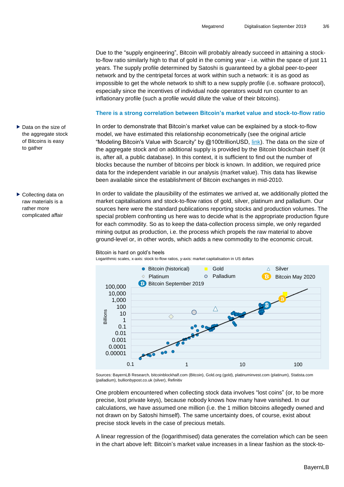Due to the "supply engineering", Bitcoin will probably already succeed in attaining a stockto-flow ratio similarly high to that of gold in the coming year - i.e. within the space of just 11 years. The supply profile determined by Satoshi is guaranteed by a global peer-to-peer network and by the centripetal forces at work within such a network: it is as good as impossible to get the whole network to shift to a new supply profile (i.e. software protocol), especially since the incentives of individual node operators would run counter to an inflationary profile (such a profile would dilute the value of their bitcoins).

## **There is a strong correlation between Bitcoin's market value and stock-to-flow ratio**

In order to demonstrate that Bitcoin's market value can be explained by a stock-to-flow model, we have estimated this relationship econometrically (see the original article "Modeling Bitcoin's Value with Scarcity" by @100trillionUSD, [link\)](https://medium.com/@100trillionUSD/modeling-bitcoins-value-with-scarcity-91fa0fc03e25). The data on the size of the aggregate stock and on additional supply is provided by the Bitcoin blockchain itself (it is, after all, a public database). In this context, it is sufficient to find out the number of blocks because the number of bitcoins per block is known. In addition, we required price data for the independent variable in our analysis (market value). This data has likewise been available since the establishment of Bitcoin exchanges in mid-2010.

In order to validate the plausibility of the estimates we arrived at, we additionally plotted the market capitalisations and stock-to-flow ratios of gold, silver, platinum and palladium. Our sources here were the standard publications reporting stocks and production volumes. The special problem confronting us here was to decide what is the appropriate production figure for each commodity. So as to keep the data-collection process simple, we only regarded mining output as production, i.e. the process which propels the raw material to above ground-level or, in other words, which adds a new commodity to the economic circuit.

## Bitcoin is hard on gold's heels

Logarithmic scales, x-axis: stock to-flow ratios, y-axis: market capitalisation in US dollars



Sources: BayernLB Research, bitcoinblockhalf.com (Bitcoin), Gold.org (gold), platinuminvest.com (platinum), Statista.com (palladium), bullionbypost.co.uk (silver), Refinitiv

One problem encountered when collecting stock data involves "lost coins" (or, to be more precise, lost private keys), because nobody knows how many have vanished. In our calculations, we have assumed one million (i.e. the 1 million bitcoins allegedly owned and not drawn on by Satoshi himself). The same uncertainty does, of course, exist about precise stock levels in the case of precious metals.

A linear regression of the (logarithmised) data generates the correlation which can be seen in the chart above left: Bitcoin's market value increases in a linear fashion as the stock-to-

- ▶ Data on the size of the aggregate stock of Bitcoins is easy to gather
- ▶ Collecting data on raw materials is a rather more complicated affair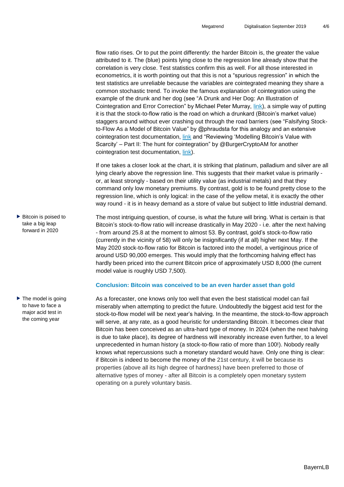flow ratio rises. Or to put the point differently: the harder Bitcoin is, the greater the value attributed to it. The (blue) points lying close to the regression line already show that the correlation is very close. Test statistics confirm this as well. For all those interested in econometrics, it is worth pointing out that this is not a "spurious regression" in which the test statistics are unreliable because the variables are cointegrated meaning they share a common stochastic trend. To invoke the famous explanation of cointegration using the example of the drunk and her dog (see "A Drunk and Her Dog: An Illustration of Cointegration and Error Correction" by Michael Peter Murray, [link\)](https://www.researchgate.net/publication/254330798_A_Drunk_and_Her_Dog_An_Illustration_of_Cointegration_and_Error_Correction), a simple way of putting it is that the stock-to-flow ratio is the road on which a drunkard (Bitcoin's market value) staggers around without ever crashing out through the road barriers (see "Falsifying Stockto-Flow As a Model of Bitcoin Value" by @phraudsta for this analogy and an extensive cointegration test documentation, [link](https://medium.com/@phraudsta/falsifying-stock-to-flow-as-a-model-of-bitcoin-value-b2d9e61f68af) and "Reviewing 'Modelling Bitcoin's Value with Scarcity' – Part II: The hunt for cointegration" by @BurgerCryptoAM for another cointegration test documentation, [link\)](https://medium.com/burgercrypto-com/reviewing-modelling-bitcoins-value-with-scarcity-part-ii-the-hunt-for-cointegration-66a8dcedd7ef).

If one takes a closer look at the chart, it is striking that platinum, palladium and silver are all lying clearly above the regression line. This suggests that their market value is primarily or, at least strongly - based on their utility value (as industrial metals) and that they command only low monetary premiums. By contrast, gold is to be found pretty close to the regression line, which is only logical: in the case of the yellow metal, it is exactly the other way round - it is in heavy demand as a store of value but subject to little industrial demand.

- The most intriguing question, of course, is what the future will bring. What is certain is that Bitcoin's stock-to-flow ratio will increase drastically in May 2020 - i.e. after the next halving - from around 25.8 at the moment to almost 53. By contrast, gold's stock-to-flow ratio (currently in the vicinity of 58) will only be insignificantly (if at all) higher next May. If the May 2020 stock-to-flow ratio for Bitcoin is factored into the model, a vertiginous price of around USD 90,000 emerges. This would imply that the forthcoming halving effect has hardly been priced into the current Bitcoin price of approximately USD 8,000 (the current model value is roughly USD 7,500).  $\blacktriangleright$  Bitcoin is poised to take a big leap forward in 2020
- $\blacktriangleright$  The model is going to have to face a major acid test in the coming year

## **Conclusion: Bitcoin was conceived to be an even harder asset than gold**

As a forecaster, one knows only too well that even the best statistical model can fail miserably when attempting to predict the future. Undoubtedly the biggest acid test for the stock-to-flow model will be next year's halving. In the meantime, the stock-to-flow approach will serve, at any rate, as a good heuristic for understanding Bitcoin. It becomes clear that Bitcoin has been conceived as an ultra-hard type of money. In 2024 (when the next halving is due to take place), its degree of hardness will inexorably increase even further, to a level unprecedented in human history (a stock-to-flow ratio of more than 100!). Nobody really knows what repercussions such a monetary standard would have. Only one thing is clear: if Bitcoin is indeed to become the money of the 21st century, it will be because its properties (above all its high degree of hardness) have been preferred to those of alternative types of money - after all Bitcoin is a completely open monetary system operating on a purely voluntary basis.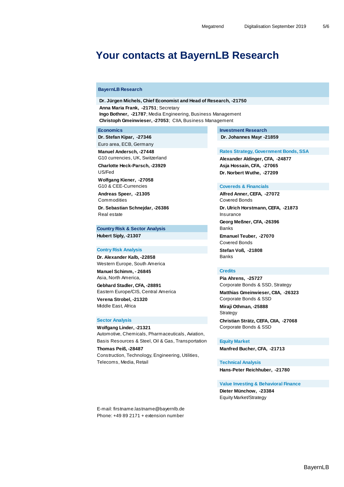## **Your contacts at BayernLB Research**

## **BayernLB Research**

 **Dr. Jürgen Michels, Chief Economist and Head of Research, -21750 Anna Maria Frank, -21751**; Secretary **Ingo Bothner, -21787**; Media Engineering, Business Management **Christoph Gmeinwieser, -27053**;CIIA, Business Management

Euro area, ECB, Germany

G10 currencies, UK, Switzerland **Alexander Aldinger, CFA, -24877** 

US/Fed **Dr. Norbert Wuthe, -27209**

 **Wolfgang Kiener, -27058** G10 & CEE-Currencies **COVER ENGINEERING** Covereds & Financials

Commodities Covered Bonds

Real estate **Insurance** 

**Country Risk & Sector Analysis** Banks

## **Contry Risk Analysis Controller Controller Stefan Voß, -21808**

**Dr. Alexander Kalb, -22858** Banks Western Europe, South America **Manuel Schimm. - 26845 Credits** 

Asia, North America, **Pia Ahrens, -25727**

Gebhard Stadler, CFA, -28891 Corporate Bonds & SSD, Strategy Eastern Europe/CIS, Central America **Matthias Gmeinwieser, CIIA, -26323** Verena Strobel, -21320 **Verena Strobel, -21320** Corporate Bonds & SSD

**Wolfgang Linder, -21321** Corporate Bonds & SSD Automotive, Chemicals, Pharmaceuticals, Aviation, Basis Resources & Steel, Oil & Gas, Transportation **Equity Market Thomas Peiß, -28487 Manfred Bucher, CFA, -21713** Construction, Technology, Engineering, Utilities, Telecoms, Media, Retail **Technical Analysis** 

 **Economics Economics Investment Research Dr. Stefan Kipar, -27346** Dr. Johannes Mayr -21859

**Manuel Andersch, -27448 Rates Strategy, Government Bonds, SSA** 

 **Charlotte Heck-Parsch, -23929 Asja Hossain, CFA, -27065** 

 **Andreas Speer, -21305 Alfred Anner, CEFA, -27072 Dr. Sebastian Schnejdar, -26386 Dr. Ulrich Horstmann, CEFA, -21873 Georg Meßner, CFA, -26396 Hubert Siply, -21307 Emanuel Teuber, -27070**

Covered Bonds

Middle East, Africa **Miraji Othman, -25888** 

**Strategy Sector Analysis Christian Strätz, CEFA, CIIA, -27068**

 **Hans-Peter Reichhuber, -21780**

## **Value Investing & Behavioral Finance**

 **Dieter Münchow, -23384** Equity Market/Strategy

E-mail: firstname.lastname@bayernlb.de Phone: +49 89 2171 + extension number